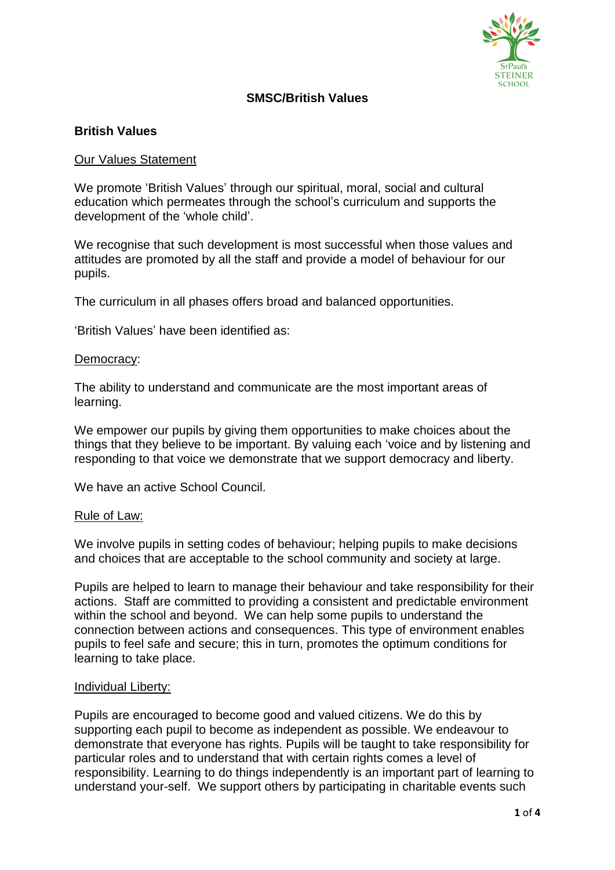

## **SMSC/British Values**

## **British Values**

#### Our Values Statement

We promote 'British Values' through our spiritual, moral, social and cultural education which permeates through the school's curriculum and supports the development of the 'whole child'.

We recognise that such development is most successful when those values and attitudes are promoted by all the staff and provide a model of behaviour for our pupils.

The curriculum in all phases offers broad and balanced opportunities.

'British Values' have been identified as:

#### Democracy:

The ability to understand and communicate are the most important areas of learning.

We empower our pupils by giving them opportunities to make choices about the things that they believe to be important. By valuing each 'voice and by listening and responding to that voice we demonstrate that we support democracy and liberty.

We have an active School Council

#### Rule of Law:

We involve pupils in setting codes of behaviour; helping pupils to make decisions and choices that are acceptable to the school community and society at large.

Pupils are helped to learn to manage their behaviour and take responsibility for their actions. Staff are committed to providing a consistent and predictable environment within the school and beyond. We can help some pupils to understand the connection between actions and consequences. This type of environment enables pupils to feel safe and secure; this in turn, promotes the optimum conditions for learning to take place.

#### Individual Liberty:

Pupils are encouraged to become good and valued citizens. We do this by supporting each pupil to become as independent as possible. We endeavour to demonstrate that everyone has rights. Pupils will be taught to take responsibility for particular roles and to understand that with certain rights comes a level of responsibility. Learning to do things independently is an important part of learning to understand your-self. We support others by participating in charitable events such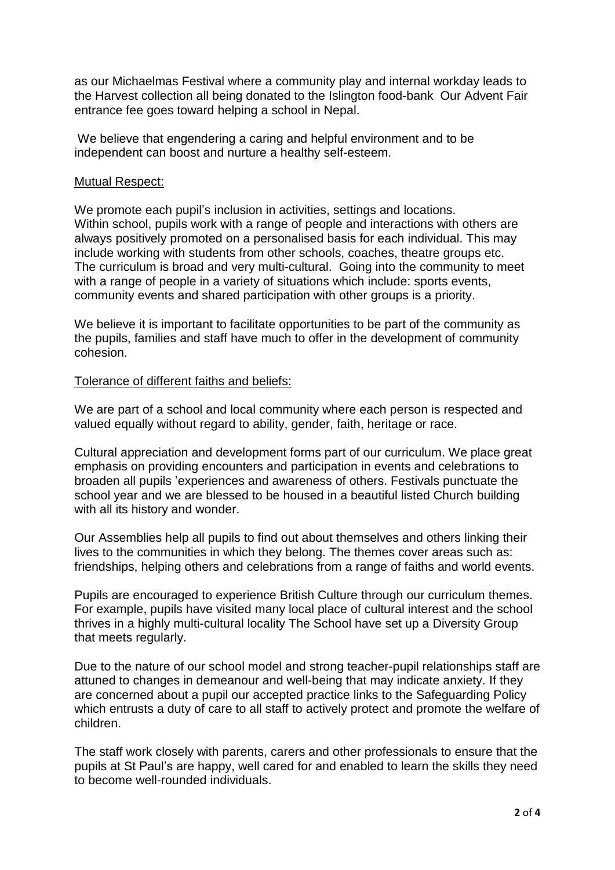as our Michaelmas Festival where a community play and internal workday leads to the Harvest collection all being donated to the Islington food-bank Our Advent Fair entrance fee goes toward helping a school in Nepal.

We believe that engendering a caring and helpful environment and to be independent can boost and nurture a healthy self-esteem.

#### Mutual Respect:

We promote each pupil's inclusion in activities, settings and locations. Within school, pupils work with a range of people and interactions with others are always positively promoted on a personalised basis for each individual. This may include working with students from other schools, coaches, theatre groups etc. The curriculum is broad and very multi-cultural. Going into the community to meet with a range of people in a variety of situations which include: sports events, community events and shared participation with other groups is a priority.

We believe it is important to facilitate opportunities to be part of the community as the pupils, families and staff have much to offer in the development of community cohesion.

### Tolerance of different faiths and beliefs:

We are part of a school and local community where each person is respected and valued equally without regard to ability, gender, faith, heritage or race.

Cultural appreciation and development forms part of our curriculum. We place great emphasis on providing encounters and participation in events and celebrations to broaden all pupils 'experiences and awareness of others. Festivals punctuate the school year and we are blessed to be housed in a beautiful listed Church building with all its history and wonder.

Our Assemblies help all pupils to find out about themselves and others linking their lives to the communities in which they belong. The themes cover areas such as: friendships, helping others and celebrations from a range of faiths and world events.

Pupils are encouraged to experience British Culture through our curriculum themes. For example, pupils have visited many local place of cultural interest and the school thrives in a highly multi-cultural locality The School have set up a Diversity Group that meets regularly.

Due to the nature of our school model and strong teacher-pupil relationships staff are attuned to changes in demeanour and well-being that may indicate anxiety. If they are concerned about a pupil our accepted practice links to the Safeguarding Policy which entrusts a duty of care to all staff to actively protect and promote the welfare of children.

The staff work closely with parents, carers and other professionals to ensure that the pupils at St Paul's are happy, well cared for and enabled to learn the skills they need to become well-rounded individuals.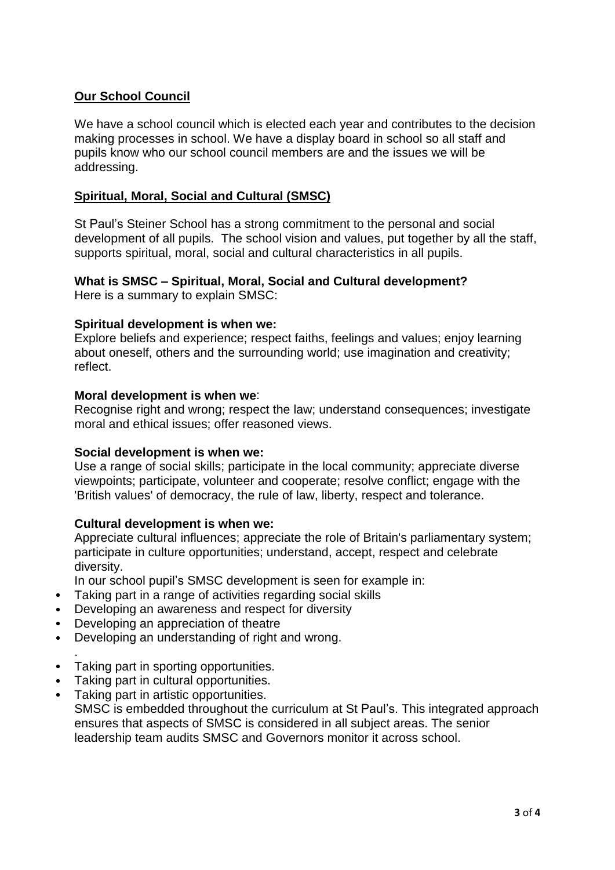# **Our School Council**

We have a school council which is elected each year and contributes to the decision making processes in school. We have a display board in school so all staff and pupils know who our school council members are and the issues we will be addressing.

## **Spiritual, Moral, Social and Cultural (SMSC)**

St Paul's Steiner School has a strong commitment to the personal and social development of all pupils. The school vision and values, put together by all the staff, supports spiritual, moral, social and cultural characteristics in all pupils.

# **What is SMSC – Spiritual, Moral, Social and Cultural development?**

Here is a summary to explain SMSC:

#### **Spiritual development is when we:**

Explore beliefs and experience; respect faiths, feelings and values; enjoy learning about oneself, others and the surrounding world; use imagination and creativity; reflect.

#### **Moral development is when we**:

Recognise right and wrong; respect the law; understand consequences; investigate moral and ethical issues; offer reasoned views.

#### **Social development is when we:**

Use a range of social skills; participate in the local community; appreciate diverse viewpoints; participate, volunteer and cooperate; resolve conflict; engage with the 'British values' of democracy, the rule of law, liberty, respect and tolerance.

### **Cultural development is when we:**

Appreciate cultural influences; appreciate the role of Britain's parliamentary system; participate in culture opportunities; understand, accept, respect and celebrate diversity.

In our school pupil's SMSC development is seen for example in:

- Taking part in a range of activities regarding social skills
- Developing an awareness and respect for diversity
- Developing an appreciation of theatre
- Developing an understanding of right and wrong.
- . • Taking part in sporting opportunities.
- Taking part in cultural opportunities.
- Taking part in artistic opportunities. SMSC is embedded throughout the curriculum at St Paul's. This integrated approach ensures that aspects of SMSC is considered in all subject areas. The senior leadership team audits SMSC and Governors monitor it across school.